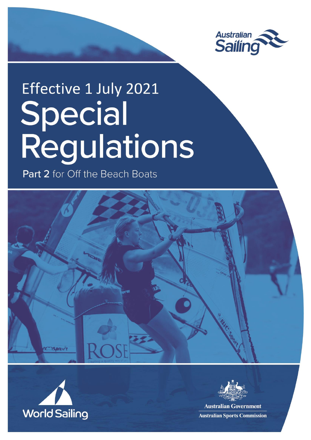

# Effective 1 July 2021 Special<br>Regulations

Part 2 for Off the Beach Boats







**Australian Government Australian Sports Commission**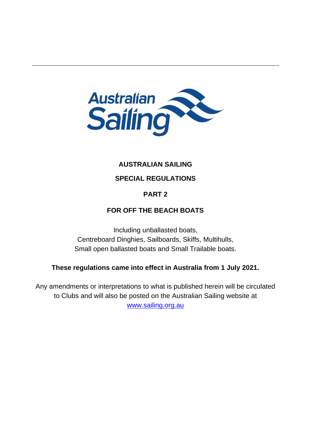

# **AUSTRALIAN SAILING**

# **SPECIAL REGULATIONS**

# **PART 2**

# **FOR OFF THE BEACH BOATS**

Including unballasted boats, Centreboard Dinghies, Sailboards, Skiffs, Multihulls, Small open ballasted boats and Small Trailable boats.

# **These regulations came into effect in Australia from 1 July 2021.**

Any amendments or interpretations to what is published herein will be circulated to Clubs and will also be posted on the Australian Sailing website at [www.sailing.org.au](http://www.sailing.org.au/)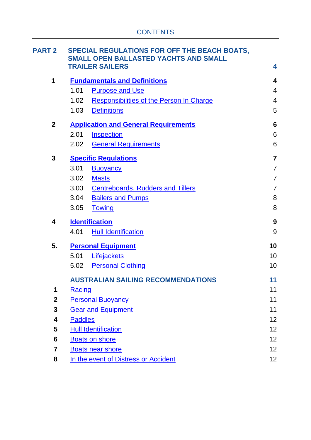| <b>PART 2</b>    | SPECIAL REGULATIONS FOR OFF THE BEACH BOATS,<br><b>SMALL OPEN BALLASTED YACHTS AND SMALL</b> |                                                 |                 |
|------------------|----------------------------------------------------------------------------------------------|-------------------------------------------------|-----------------|
|                  | <b>TRAILER SAILERS</b>                                                                       |                                                 | 4               |
| 1                | <b>Fundamentals and Definitions</b>                                                          |                                                 | 4               |
|                  | 1.01                                                                                         | <b>Purpose and Use</b>                          | $\overline{4}$  |
|                  | 1.02                                                                                         | <b>Responsibilities of the Person In Charge</b> | $\overline{4}$  |
|                  | 1.03                                                                                         | <b>Definitions</b>                              | 5               |
| $\boldsymbol{2}$ | <b>Application and General Requirements</b>                                                  |                                                 | 6               |
|                  | 2.01                                                                                         | <b>Inspection</b>                               | 6               |
|                  | 2.02                                                                                         | <b>General Requirements</b>                     | 6               |
| 3                | <b>Specific Regulations</b>                                                                  |                                                 | $\overline{7}$  |
|                  | 3.01<br><b>Buoyancy</b>                                                                      |                                                 | $\overline{7}$  |
|                  | 3.02<br><b>Masts</b>                                                                         |                                                 | $\overline{7}$  |
|                  | 3.03                                                                                         | <b>Centreboards, Rudders and Tillers</b>        | $\overline{7}$  |
|                  | 3.04                                                                                         | <b>Bailers and Pumps</b>                        | 8               |
|                  | 3.05<br><b>Towing</b>                                                                        |                                                 | 8               |
| 4                | <b>Identification</b>                                                                        |                                                 | 9               |
|                  | 4.01                                                                                         | <b>Hull Identification</b>                      | 9               |
| 5.               | <b>Personal Equipment</b>                                                                    |                                                 | 10              |
|                  | 5.01                                                                                         | Lifejackets                                     | 10              |
|                  | 5.02                                                                                         | <b>Personal Clothing</b>                        | 10              |
|                  | <b>AUSTRALIAN SAILING RECOMMENDATIONS</b>                                                    |                                                 | 11              |
| 1                | Racing                                                                                       |                                                 |                 |
| $\boldsymbol{2}$ |                                                                                              | <b>Personal Buoyancy</b>                        |                 |
| 3                | <b>Gear and Equipment</b>                                                                    |                                                 | 11              |
| 4                | <b>Paddles</b>                                                                               |                                                 | 12              |
| 5                | <b>Hull Identification</b>                                                                   |                                                 | 12              |
| 6                | <b>Boats on shore</b>                                                                        |                                                 | 12              |
| 7                | <b>Boats near shore</b>                                                                      |                                                 | 12 <sub>2</sub> |
| 8                | In the event of Distress or Accident<br>12                                                   |                                                 |                 |
|                  |                                                                                              |                                                 |                 |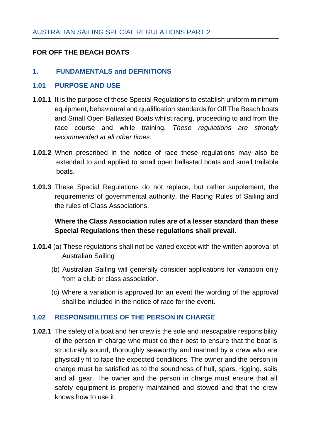# **FOR OFF THE BEACH BOATS**

## <span id="page-3-0"></span>**1. FUNDAMENTALS and DEFINITIONS**

#### <span id="page-3-1"></span>**1.01 PURPOSE AND USE**

- **1.01.1** It is the purpose of these Special Regulations to establish uniform minimum equipment, behavioural and qualification standards for Off The Beach boats and Small Open Ballasted Boats whilst racing, proceeding to and from the race course and while training. *These regulations are strongly recommended at all other times.*
- **1.01.2** When prescribed in the notice of race these regulations may also be extended to and applied to small open ballasted boats and small trailable boats.
- **1.01.3** These Special Regulations do not replace, but rather supplement, the requirements of governmental authority, the Racing Rules of Sailing and the rules of Class Associations.

# <span id="page-3-2"></span>**Where the Class Association rules are of a lesser standard than these Special Regulations then these regulations shall prevail.**

- **1.01.4** (a) These regulations shall not be varied except with the written approval of Australian Sailing
	- (b) Australian Sailing will generally consider applications for variation only from a club or class association.
	- (c) Where a variation is approved for an event the wording of the approval shall be included in the notice of race for the event.

#### **1.02 RESPONSIBILITIES OF THE PERSON IN CHARGE**

**1.02.1** The safety of a boat and her crew is the sole and inescapable responsibility of the person in charge who must do their best to ensure that the boat is structurally sound, thoroughly seaworthy and manned by a crew who are physically fit to face the expected conditions. The owner and the person in charge must be satisfied as to the soundness of hull, spars, rigging, sails and all gear. The owner and the person in charge must ensure that all safety equipment is properly maintained and stowed and that the crew knows how to use it.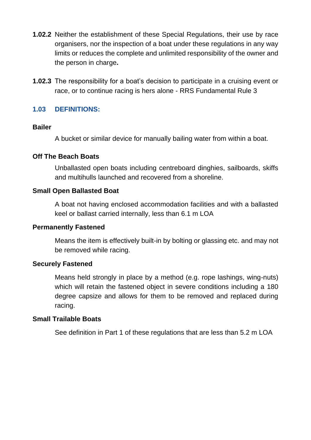- **1.02.2** Neither the establishment of these Special Regulations, their use by race organisers, nor the inspection of a boat under these regulations in any way limits or reduces the complete and unlimited responsibility of the owner and the person in charge**.**
- **1.02.3** The responsibility for a boat's decision to participate in a cruising event or race, or to continue racing is hers alone - RRS Fundamental Rule 3

## **1.03 DEFINITIONS:**

#### **Bailer**

<span id="page-4-0"></span>A bucket or similar device for manually bailing water from within a boat.

#### **Off The Beach Boats**

Unballasted open boats including centreboard dinghies, sailboards, skiffs and multihulls launched and recovered from a shoreline.

## **Small Open Ballasted Boat**

A boat not having enclosed accommodation facilities and with a ballasted keel or ballast carried internally, less than 6.1 m LOA

#### **Permanently Fastened**

Means the item is effectively built-in by bolting or glassing etc. and may not be removed while racing.

#### **Securely Fastened**

Means held strongly in place by a method (e.g. rope lashings, wing-nuts) which will retain the fastened object in severe conditions including a 180 degree capsize and allows for them to be removed and replaced during racing.

#### **Small Trailable Boats**

See definition in Part 1 of these regulations that are less than 5.2 m LOA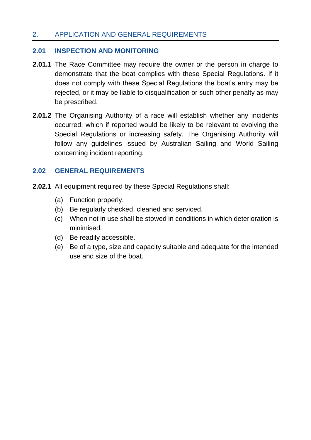# <span id="page-5-0"></span>2. APPLICATION AND GENERAL REQUIREMENTS

#### <span id="page-5-1"></span>**2.01 INSPECTION AND MONITORING**

- **2.01.1** The Race Committee may require the owner or the person in charge to demonstrate that the boat complies with these Special Regulations. If it does not comply with these Special Regulations the boat's entry may be rejected, or it may be liable to disqualification or such other penalty as may be prescribed.
- **2.01.2** The Organising Authority of a race will establish whether any incidents occurred, which if reported would be likely to be relevant to evolving the Special Regulations or increasing safety. The Organising Authority will follow any guidelines issued by Australian Sailing and World Sailing concerning incident reporting.

#### <span id="page-5-2"></span>**2.02 GENERAL REQUIREMENTS**

- **2.02.1** All equipment required by these Special Regulations shall:
	- (a) Function properly.
	- (b) Be regularly checked, cleaned and serviced.
	- (c) When not in use shall be stowed in conditions in which deterioration is minimised.
	- (d) Be readily accessible.
	- (e) Be of a type, size and capacity suitable and adequate for the intended use and size of the boat.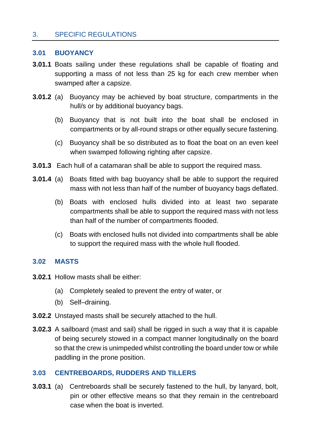# <span id="page-6-0"></span>3. SPECIFIC REGULATIONS

#### <span id="page-6-1"></span>**3.01 BUOYANCY**

- **3.01.1** Boats sailing under these regulations shall be capable of floating and supporting a mass of not less than 25 kg for each crew member when swamped after a capsize.
- **3.01.2** (a) Buoyancy may be achieved by boat structure, compartments in the hull/s or by additional buoyancy bags.
	- (b) Buoyancy that is not built into the boat shall be enclosed in compartments or by all-round straps or other equally secure fastening.
	- (c) Buoyancy shall be so distributed as to float the boat on an even keel when swamped following righting after capsize.
- **3.01.3** Each hull of a catamaran shall be able to support the required mass.
- **3.01.4** (a) Boats fitted with bag buoyancy shall be able to support the required mass with not less than half of the number of buoyancy bags deflated.
	- (b) Boats with enclosed hulls divided into at least two separate compartments shall be able to support the required mass with not less than half of the number of compartments flooded.
	- (c) Boats with enclosed hulls not divided into compartments shall be able to support the required mass with the whole hull flooded.

#### <span id="page-6-2"></span>**3.02 MASTS**

- **3.02.1** Hollow masts shall be either:
	- (a) Completely sealed to prevent the entry of water, or
	- (b) Self–draining.
- **3.02.2** Unstayed masts shall be securely attached to the hull.
- **3.02.3** A sailboard (mast and sail) shall be rigged in such a way that it is capable of being securely stowed in a compact manner longitudinally on the board so that the crew is unimpeded whilst controlling the board under tow or while paddling in the prone position.

#### <span id="page-6-3"></span>**3.03 CENTREBOARDS, RUDDERS AND TILLERS**

**3.03.1** (a) Centreboards shall be securely fastened to the hull, by lanyard, bolt, pin or other effective means so that they remain in the centreboard case when the boat is inverted.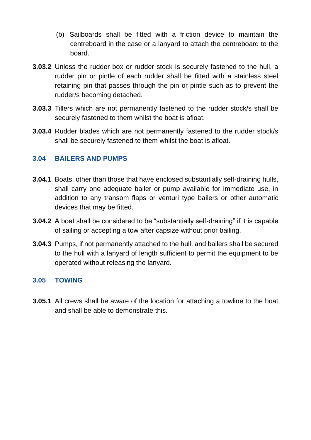- (b) Sailboards shall be fitted with a friction device to maintain the centreboard in the case or a lanyard to attach the centreboard to the board.
- **3.03.2** Unless the rudder box or rudder stock is securely fastened to the hull, a rudder pin or pintle of each rudder shall be fitted with a stainless steel retaining pin that passes through the pin or pintle such as to prevent the rudder/s becoming detached.
- **3.03.3** Tillers which are not permanently fastened to the rudder stock/s shall be securely fastened to them whilst the boat is afloat.
- **3.03.4** Rudder blades which are not permanently fastened to the rudder stock/s shall be securely fastened to them whilst the boat is afloat.

## <span id="page-7-0"></span>**3.04 BAILERS AND PUMPS**

- **3.04.1** Boats, other than those that have enclosed substantially self-draining hulls, shall carry one adequate bailer or pump available for immediate use, in addition to any transom flaps or venturi type bailers or other automatic devices that may be fitted.
- **3.04.2** A boat shall be considered to be "substantially self-draining" if it is capable of sailing or accepting a tow after capsize without prior bailing.
- **3.04.3** Pumps, if not permanently attached to the hull, and bailers shall be secured to the hull with a lanyard of length sufficient to permit the equipment to be operated without releasing the lanyard.

#### <span id="page-7-1"></span>**3.05 TOWING**

**3.05.1** All crews shall be aware of the location for attaching a towline to the boat and shall be able to demonstrate this.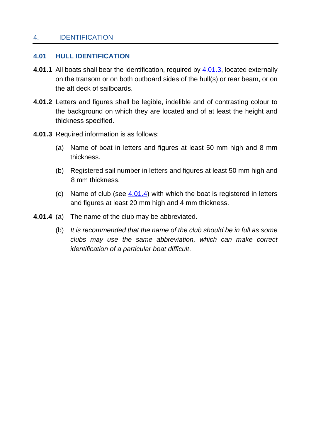#### <span id="page-8-0"></span>4. IDENTIFICATION

## <span id="page-8-1"></span>**4.01 HULL IDENTIFICATION**

- **4.01.1** All boats shall bear the identification, required by **4.01.3**, located externally on the transom or on both outboard sides of the hull(s) or rear beam, or on the aft deck of sailboards.
- **4.01.2** Letters and figures shall be legible, indelible and of contrasting colour to the background on which they are located and of at least the height and thickness specified.
- <span id="page-8-2"></span>**4.01.3** Required information is as follows:
	- (a) Name of boat in letters and figures at least 50 mm high and 8 mm thickness.
	- (b) Registered sail number in letters and figures at least 50 mm high and 8 mm thickness.
	- (c) Name of club (see  $4.01.4$ ) with which the boat is registered in letters and figures at least 20 mm high and 4 mm thickness.
- **4.01.4** (a) The name of the club may be abbreviated.
	- (b) *It is recommended that the name of the club should be in full as some clubs may use the same abbreviation, which can make correct identification of a particular boat difficult*.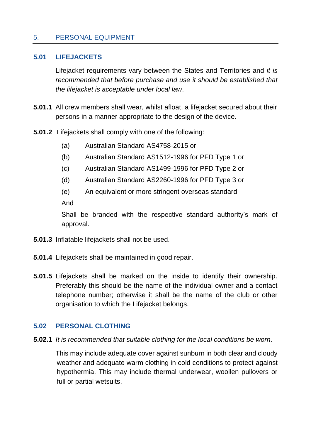## <span id="page-9-0"></span>5. PERSONAL EQUIPMENT

#### <span id="page-9-1"></span>**5.01 LIFEJACKETS**

Lifejacket requirements vary between the States and Territories and *it is recommended that before purchase and use it should be established that the lifejacket is acceptable under local law*.

- **5.01.1** All crew members shall wear, whilst afloat, a lifejacket secured about their persons in a manner appropriate to the design of the device.
- **5.01.2** Lifejackets shall comply with one of the following:
	- (a) Australian Standard AS4758-2015 or
	- (b) Australian Standard AS1512-1996 for PFD Type 1 or
	- (c) Australian Standard AS1499-1996 for PFD Type 2 or
	- (d) Australian Standard AS2260-1996 for PFD Type 3 or
	- (e) An equivalent or more stringent overseas standard

And

Shall be branded with the respective standard authority's mark of approval.

- **5.01.3** Inflatable lifejackets shall not be used.
- **5.01.4** Lifejackets shall be maintained in good repair.
- **5.01.5** Lifejackets shall be marked on the inside to identify their ownership. Preferably this should be the name of the individual owner and a contact telephone number; otherwise it shall be the name of the club or other organisation to which the Lifejacket belongs.

#### <span id="page-9-2"></span>**5.02 PERSONAL CLOTHING**

**5.02.1** *It is recommended that suitable clothing for the local conditions be worn*.

This may include adequate cover against sunburn in both clear and cloudy weather and adequate warm clothing in cold conditions to protect against hypothermia. This may include thermal underwear, woollen pullovers or full or partial wetsuits.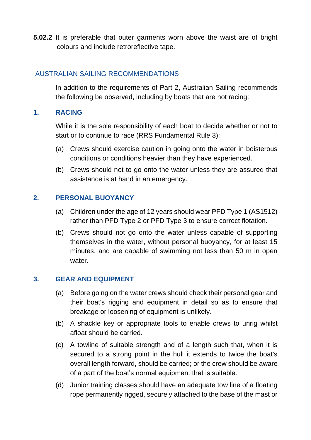**5.02.2** It is preferable that outer garments worn above the waist are of bright colours and include retroreflective tape.

# <span id="page-10-0"></span>AUSTRALIAN SAILING RECOMMENDATIONS

In addition to the requirements of Part 2, Australian Sailing recommends the following be observed, including by boats that are not racing:

#### <span id="page-10-1"></span>**1. RACING**

While it is the sole responsibility of each boat to decide whether or not to start or to continue to race (RRS Fundamental Rule 3):

- (a) Crews should exercise caution in going onto the water in boisterous conditions or conditions heavier than they have experienced.
- (b) Crews should not to go onto the water unless they are assured that assistance is at hand in an emergency.

## <span id="page-10-2"></span>**2. PERSONAL BUOYANCY**

- (a) Children under the age of 12 years should wear PFD Type 1 (AS1512) rather than PFD Type 2 or PFD Type 3 to ensure correct flotation.
- (b) Crews should not go onto the water unless capable of supporting themselves in the water, without personal buoyancy, for at least 15 minutes, and are capable of swimming not less than 50 m in open water.

#### <span id="page-10-3"></span>**3. GEAR AND EQUIPMENT**

- (a) Before going on the water crews should check their personal gear and their boat's rigging and equipment in detail so as to ensure that breakage or loosening of equipment is unlikely.
- (b) A shackle key or appropriate tools to enable crews to unrig whilst afloat should be carried.
- (c) A towline of suitable strength and of a length such that, when it is secured to a strong point in the hull it extends to twice the boat's overall length forward, should be carried; or the crew should be aware of a part of the boat's normal equipment that is suitable.
- (d) Junior training classes should have an adequate tow line of a floating rope permanently rigged, securely attached to the base of the mast or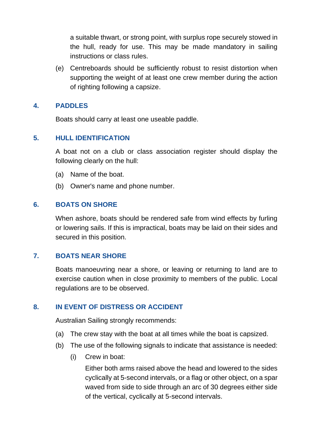a suitable thwart, or strong point, with surplus rope securely stowed in the hull, ready for use. This may be made mandatory in sailing instructions or class rules.

(e) Centreboards should be sufficiently robust to resist distortion when supporting the weight of at least one crew member during the action of righting following a capsize.

# <span id="page-11-0"></span>**4. PADDLES**

Boats should carry at least one useable paddle.

# <span id="page-11-1"></span>**5. HULL IDENTIFICATION**

A boat not on a club or class association register should display the following clearly on the hull:

- (a) Name of the boat.
- (b) Owner's name and phone number.

# <span id="page-11-2"></span>**6. BOATS ON SHORE**

When ashore, boats should be rendered safe from wind effects by furling or lowering sails. If this is impractical, boats may be laid on their sides and secured in this position.

# <span id="page-11-3"></span>**7. BOATS NEAR SHORE**

Boats manoeuvring near a shore, or leaving or returning to land are to exercise caution when in close proximity to members of the public. Local regulations are to be observed.

# <span id="page-11-4"></span>**8. IN EVENT OF DISTRESS OR ACCIDENT**

Australian Sailing strongly recommends:

- (a) The crew stay with the boat at all times while the boat is capsized.
- (b) The use of the following signals to indicate that assistance is needed:
	- (i) Crew in boat:

Either both arms raised above the head and lowered to the sides cyclically at 5-second intervals, or a flag or other object, on a spar waved from side to side through an arc of 30 degrees either side of the vertical, cyclically at 5-second intervals.